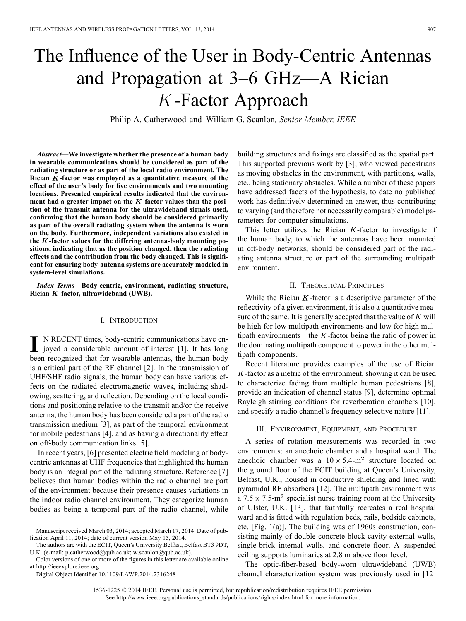# The Influence of the User in Body-Centric Antennas and Propagation at 3–6 GHz—A Rician -Factor Approach

Philip A. Catherwood and William G. Scanlon*, Senior Member, IEEE*

*Abstract—***We investigate whether the presence of a human body in wearable communications should be considered as part of the radiating structure or as part of the local radio environment. The Rician** *K*-factor was employed as a quantitative measure of the **effect of the user's body for five environments and two mounting locations. Presented empirical results indicated that the environ**ment had a greater impact on the K-factor values than the posi**tion of the transmit antenna for the ultrawideband signals used, confirming that the human body should be considered primarily as part of the overall radiating system when the antenna is worn on the body. Furthermore, independent variations also existed in the -factor values for the differing antenna-body mounting positions, indicating that as the position changed, then the radiating effects and the contribution from the body changed. This is significant for ensuring body-antenna systems are accurately modeled in system-level simulations.**

*Index Terms—***Body-centric, environment, radiating structure, Rician -factor, ultrawideband (UWB).**

#### I. INTRODUCTION

**I** N RECENT times, body-centric communications have enjoyed a considerable amount of interest [1]. It has long been recognized that for wearable antennas, the human body is a critical part of the RF channel [2]. In the transmission of UHF/SHF radio signals, the human body can have various effects on the radiated electromagnetic waves, including shadowing, scattering, and reflection. Depending on the local conditions and positioning relative to the transmit and/or the receive antenna, the human body has been considered a part of the radio transmission medium [3], as part of the temporal environment for mobile pedestrians [4], and as having a directionality effect on off-body communication links [5].

In recent years, [6] presented electric field modeling of bodycentric antennas at UHF frequencies that highlighted the human body is an integral part of the radiating structure. Reference [7] believes that human bodies within the radio channel are part of the environment because their presence causes variations in the indoor radio channel environment. They categorize human bodies as being a temporal part of the radio channel, while

The authors are with the ECIT, Queen's University Belfast, Belfast BT3 9DT, U.K. (e-mail: p.catherwood@qub.ac.uk; w.scanlon@qub.ac.uk).

Color versions of one or more of the figures in this letter are available online at http://ieeexplore.ieee.org.

Digital Object Identifier 10.1109/LAWP.2014.2316248

building structures and fixings are classified as the spatial part. This supported previous work by [3], who viewed pedestrians as moving obstacles in the environment, with partitions, walls, etc., being stationary obstacles. While a number of these papers have addressed facets of the hypothesis, to date no published work has definitively determined an answer, thus contributing to varying (and therefore not necessarily comparable) model parameters for computer simulations.

This letter utilizes the Rician  $K$ -factor to investigate if the human body, to which the antennas have been mounted in off-body networks, should be considered part of the radiating antenna structure or part of the surrounding multipath environment.

## II. THEORETICAL PRINCIPLES

While the Rician  $K$ -factor is a descriptive parameter of the reflectivity of a given environment, it is also a quantitative measure of the same. It is generally accepted that the value of  $K$  will be high for low multipath environments and low for high multipath environments—the  $K$ -factor being the ratio of power in the dominating multipath component to power in the other multipath components.

Recent literature provides examples of the use of Rician  $K$ -factor as a metric of the environment, showing it can be used to characterize fading from multiple human pedestrians [8], provide an indication of channel status [9], determine optimal Rayleigh stirring conditions for reverberation chambers [10], and specify a radio channel's frequency-selective nature [11].

## III. ENVIRONMENT, EQUIPMENT, AND PROCEDURE

A series of rotation measurements was recorded in two environments: an anechoic chamber and a hospital ward. The anechoic chamber was a  $10 \times 5.4 \text{ m}^2$  structure located on the ground floor of the ECIT building at Queen's University, Belfast, U.K., housed in conductive shielding and lined with pyramidal RF absorbers [12]. The multipath environment was a  $7.5 \times 7.5 \text{ m}^2$  specialist nurse training room at the University of Ulster, U.K. [13], that faithfully recreates a real hospital ward and is fitted with regulation beds, rails, bedside cabinets, etc. [Fig. 1(a)]. The building was of 1960s construction, consisting mainly of double concrete-block cavity external walls, single-brick internal walls, and concrete floor. A suspended ceiling supports luminaries at 2.8 m above floor level.

The optic-fiber-based body-worn ultrawideband (UWB) channel characterization system was previously used in [12]

1536-1225 © 2014 IEEE. Personal use is permitted, but republication/redistribution requires IEEE permission. See http://www.ieee.org/publications\_standards/publications/rights/index.html for more information.

Manuscript received March 03, 2014; accepted March 17, 2014. Date of publication April 11, 2014; date of current version May 15, 2014.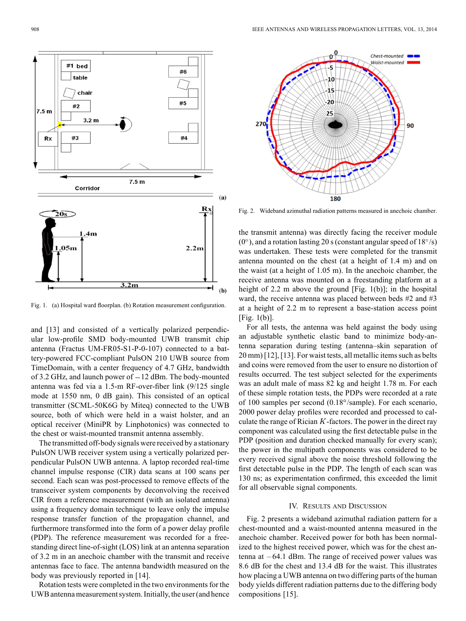Chest-mounted Waist-mounted

90

 $0<sup>0</sup>$ 

5.

 $10$ 

 $-20$ 

 $\overline{25}$ 

Fig. 1. (a) Hospital ward floorplan. (b) Rotation measurement configuration.

and [13] and consisted of a vertically polarized perpendicular low-profile SMD body-mounted UWB transmit chip antenna (Fractus UM-FR05-S1-P-0-107) connected to a battery-powered FCC-compliant PulsON 210 UWB source from TimeDomain, with a center frequency of 4.7 GHz, bandwidth of 3.2 GHz, and launch power of  $-12$  dBm. The body-mounted antenna was fed via a 1.5-m RF-over-fiber link (9/125 single mode at 1550 nm, 0 dB gain). This consisted of an optical transmitter (SCML-50K6G by Miteq) connected to the UWB source, both of which were held in a waist holster, and an optical receiver (MiniPR by Linphotonics) was connected to the chest or waist-mounted transmit antenna assembly.

The transmitted off-body signals were received by a stationary PulsON UWB receiver system using a vertically polarized perpendicular PulsON UWB antenna. A laptop recorded real-time channel impulse response (CIR) data scans at 100 scans per second. Each scan was post-processed to remove effects of the transceiver system components by deconvolving the received CIR from a reference measurement (with an isolated antenna) using a frequency domain technique to leave only the impulse response transfer function of the propagation channel, and furthermore transformed into the form of a power delay profile (PDP). The reference measurement was recorded for a freestanding direct line-of-sight (LOS) link at an antenna separation of 3.2 m in an anechoic chamber with the transmit and receive antennas face to face. The antenna bandwidth measured on the body was previously reported in [14].

Rotation tests were completed in the two environments for the UWB antenna measurement system. Initially, the user (and hence



the transmit antenna) was directly facing the receiver module  $(0^{\circ})$ , and a rotation lasting 20 s (constant angular speed of 18 $\degree$ /s) was undertaken. These tests were completed for the transmit antenna mounted on the chest (at a height of 1.4 m) and on the waist (at a height of 1.05 m). In the anechoic chamber, the receive antenna was mounted on a freestanding platform at a height of 2.2 m above the ground [Fig. 1(b)]; in the hospital ward, the receive antenna was placed between beds #2 and #3 at a height of 2.2 m to represent a base-station access point [Fig. 1(b)].

For all tests, the antenna was held against the body using an adjustable synthetic elastic band to minimize body-antenna separation during testing (antenna–skin separation of 20 mm) [12], [13]. For waist tests, all metallic items such as belts and coins were removed from the user to ensure no distortion of results occurred. The test subject selected for the experiments was an adult male of mass 82 kg and height 1.78 m. For each of these simple rotation tests, the PDPs were recorded at a rate of 100 samples per second  $(0.18^{\circ}/\text{sample})$ . For each scenario, 2000 power delay profiles were recorded and processed to calculate the range of Rician  $K$ -factors. The power in the direct ray component was calculated using the first detectable pulse in the PDP (position and duration checked manually for every scan); the power in the multipath components was considered to be every received signal above the noise threshold following the first detectable pulse in the PDP. The length of each scan was 130 ns; as experimentation confirmed, this exceeded the limit for all observable signal components.

# IV. RESULTS AND DISCUSSION

Fig. 2 presents a wideband azimuthal radiation pattern for a chest-mounted and a waist-mounted antenna measured in the anechoic chamber. Received power for both has been normalized to the highest received power, which was for the chest antenna at  $-64.1$  dBm. The range of received power values was 8.6 dB for the chest and 13.4 dB for the waist. This illustrates how placing a UWB antenna on two differing parts of the human body yields different radiation patterns due to the differing body compositions [15].

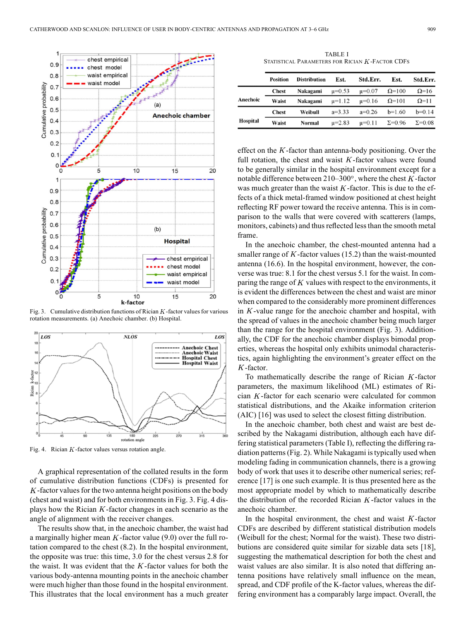

Fig. 3. Cumulative distribution functions of Rician  $K$ -factor values for various rotation measurements. (a) Anechoic chamber. (b) Hospital.



Fig. 4. Rician  $K$ -factor values versus rotation angle.

A graphical representation of the collated results in the form of cumulative distribution functions (CDFs) is presented for  $K$ -factor values for the two antenna height positions on the body (chest and waist) and for both environments in Fig. 3. Fig. 4 displays how the Rician  $K$ -factor changes in each scenario as the angle of alignment with the receiver changes.

The results show that, in the anechoic chamber, the waist had a marginally higher mean  $K$ -factor value (9.0) over the full rotation compared to the chest (8.2). In the hospital environment, the opposite was true: this time, 3.0 for the chest versus 2.8 for the waist. It was evident that the  $K$ -factor values for both the various body-antenna mounting points in the anechoic chamber were much higher than those found in the hospital environment. This illustrates that the local environment has a much greater

TABLE I STATISTICAL PARAMETERS FOR RICIAN  $K$ -FACTOR CDFS

|          | <b>Position</b> | <b>Distribution</b> | Est.         | Std.Err.     | Est.            | Std.Err.        |
|----------|-----------------|---------------------|--------------|--------------|-----------------|-----------------|
|          | <b>Chest</b>    | Nakagami            | $\mu = 0.53$ | $\mu = 0.07$ | $\Omega$ =100   | $\Omega$ =16    |
| Anechoic | Waist           | Nakagami            | $\mu=1.12$   | $\mu = 0.16$ | $\Omega$ =101   | $\Omega$ =11    |
|          | <b>Chest</b>    | Weibull             | $a=3.33$     | $a=0.26$     | $b=1.60$        | $b=0.14$        |
| Hospital | Waist           | Normal              | $\mu = 2.83$ | $\mu = 0.11$ | $\Sigma = 0.96$ | $\Sigma = 0.08$ |

effect on the  $K$ -factor than antenna-body positioning. Over the full rotation, the chest and waist  $K$ -factor values were found to be generally similar in the hospital environment except for a notable difference between  $210-300^\circ$ , where the chest K-factor was much greater than the waist  $K$ -factor. This is due to the effects of a thick metal-framed window positioned at chest height reflecting RF power toward the receive antenna. This is in comparison to the walls that were covered with scatterers (lamps, monitors, cabinets) and thus reflected less than the smooth metal frame.

In the anechoic chamber, the chest-mounted antenna had a smaller range of  $K$ -factor values (15.2) than the waist-mounted antenna (16.6). In the hospital environment, however, the converse was true: 8.1 for the chest versus 5.1 for the waist. In comparing the range of  $K$  values with respect to the environments, it is evident the differences between the chest and waist are minor when compared to the considerably more prominent differences in  $K$ -value range for the anechoic chamber and hospital, with the spread of values in the anechoic chamber being much larger than the range for the hospital environment (Fig. 3). Additionally, the CDF for the anechoic chamber displays bimodal properties, whereas the hospital only exhibits unimodal characteristics, again highlighting the environment's greater effect on the  $K$ -factor.

To mathematically describe the range of Rician  $K$ -factor parameters, the maximum likelihood (ML) estimates of Rician  $K$ -factor for each scenario were calculated for common statistical distributions, and the Akaike information criterion (AIC) [16] was used to select the closest fitting distribution.

In the anechoic chamber, both chest and waist are best described by the Nakagami distribution, although each have differing statistical parameters (Table I), reflecting the differing radiation patterns (Fig. 2). While Nakagami is typically used when modeling fading in communication channels, there is a growing body of work that uses it to describe other numerical series; reference [17] is one such example. It is thus presented here as the most appropriate model by which to mathematically describe the distribution of the recorded Rician  $K$ -factor values in the anechoic chamber.

In the hospital environment, the chest and waist  $K$ -factor CDFs are described by different statistical distribution models (Weibull for the chest; Normal for the waist). These two distributions are considered quite similar for sizable data sets [18], suggesting the mathematical description for both the chest and waist values are also similar. It is also noted that differing antenna positions have relatively small influence on the mean, spread, and CDF profile of the K-factor values, whereas the differing environment has a comparably large impact. Overall, the